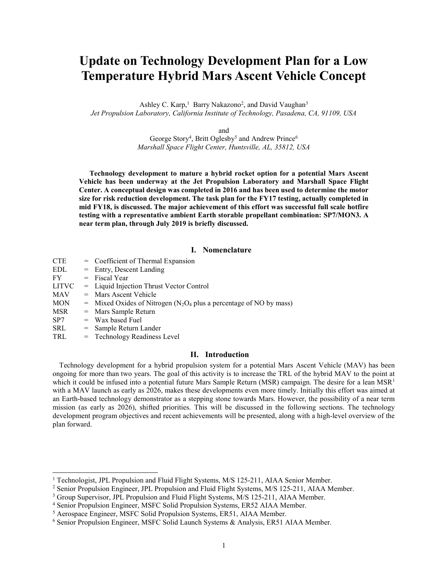# Update on Technology Development Plan for a Low Temperature Hybrid Mars Ascent Vehicle Concept

Ashley C. Karp,<sup>1</sup> Barry Nakazono<sup>2</sup>, and David Vaughan<sup>3</sup> Jet Propulsion Laboratory, California Institute of Technology, Pasadena, CA, 91109, USA

and

George Story<sup>4</sup>, Britt Oglesby<sup>5</sup> and Andrew Prince<sup>6</sup> Marshall Space Flight Center, Huntsville, AL, 35812, USA

Technology development to mature a hybrid rocket option for a potential Mars Ascent Vehicle has been underway at the Jet Propulsion Laboratory and Marshall Space Flight Center. A conceptual design was completed in 2016 and has been used to determine the motor size for risk reduction development. The task plan for the FY17 testing, actually completed in mid FY18, is discussed. The major achievement of this effort was successful full scale hotfire testing with a representative ambient Earth storable propellant combination: SP7/MON3. A near term plan, through July 2019 is briefly discussed.

#### I. Nomenclature

| = Coefficient of Thermal Expansion                                                           |
|----------------------------------------------------------------------------------------------|
| $=$ Entry, Descent Landing                                                                   |
| $=$ Fiscal Year                                                                              |
| $=$ Liquid Injection Thrust Vector Control                                                   |
| $=$ Mars Ascent Vehicle                                                                      |
| $=$ Mixed Oxides of Nitrogen (N <sub>2</sub> O <sub>4</sub> plus a percentage of NO by mass) |
| $=$ Mars Sample Return                                                                       |
| $=$ Wax based Fuel                                                                           |
| $=$ Sample Return Lander                                                                     |
| = Technology Readiness Level                                                                 |
|                                                                                              |

## II. Introduction

Technology development for a hybrid propulsion system for a potential Mars Ascent Vehicle (MAV) has been ongoing for more than two years. The goal of this activity is to increase the TRL of the hybrid MAV to the point at which it could be infused into a potential future Mars Sample Return (MSR) campaign. The desire for a lean MSR<sup>1</sup> with a MAV launch as early as 2026, makes these developments even more timely. Initially this effort was aimed at an Earth-based technology demonstrator as a stepping stone towards Mars. However, the possibility of a near term mission (as early as 2026), shifted priorities. This will be discussed in the following sections. The technology development program objectives and recent achievements will be presented, along with a high-level overview of the plan forward.

l

<sup>&</sup>lt;sup>1</sup> Technologist, JPL Propulsion and Fluid Flight Systems, M/S 125-211, AIAA Senior Member.

<sup>&</sup>lt;sup>2</sup> Senior Propulsion Engineer, JPL Propulsion and Fluid Flight Systems, M/S 125-211, AIAA Member.

<sup>&</sup>lt;sup>3</sup> Group Supervisor, JPL Propulsion and Fluid Flight Systems, M/S 125-211, AIAA Member.

<sup>4</sup> Senior Propulsion Engineer, MSFC Solid Propulsion Systems, ER52 AIAA Member.

<sup>&</sup>lt;sup>5</sup> Aerospace Engineer, MSFC Solid Propulsion Systems, ER51, AIAA Member.

<sup>6</sup> Senior Propulsion Engineer, MSFC Solid Launch Systems & Analysis, ER51 AIAA Member.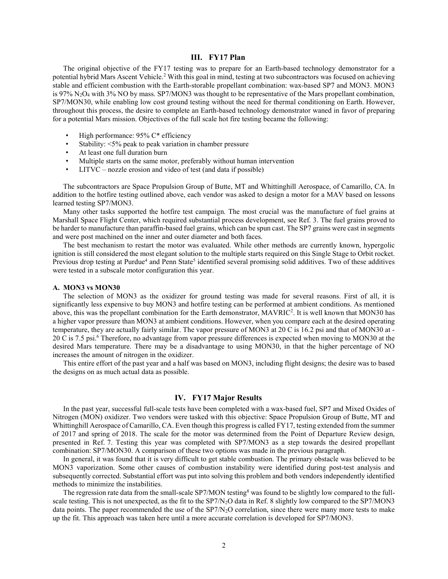#### III. FY17 Plan

The original objective of the FY17 testing was to prepare for an Earth-based technology demonstrator for a potential hybrid Mars Ascent Vehicle.<sup>2</sup> With this goal in mind, testing at two subcontractors was focused on achieving stable and efficient combustion with the Earth-storable propellant combination: wax-based SP7 and MON3. MON3 is 97% N2O4 with 3% NO by mass. SP7/MON3 was thought to be representative of the Mars propellant combination, SP7/MON30, while enabling low cost ground testing without the need for thermal conditioning on Earth. However, throughout this process, the desire to complete an Earth-based technology demonstrator waned in favor of preparing for a potential Mars mission. Objectives of the full scale hot fire testing became the following:

- High performance: 95% C\* efficiency
- Stability: <5% peak to peak variation in chamber pressure
- At least one full duration burn
- Multiple starts on the same motor, preferably without human intervention
- LITVC nozzle erosion and video of test (and data if possible)

The subcontractors are Space Propulsion Group of Butte, MT and Whittinghill Aerospace, of Camarillo, CA. In addition to the hotfire testing outlined above, each vendor was asked to design a motor for a MAV based on lessons learned testing SP7/MON3.

Many other tasks supported the hotfire test campaign. The most crucial was the manufacture of fuel grains at Marshall Space Flight Center, which required substantial process development, see Ref. 3. The fuel grains proved to be harder to manufacture than paraffin-based fuel grains, which can be spun cast. The SP7 grains were cast in segments and were post machined on the inner and outer diameter and both faces.

 The best mechanism to restart the motor was evaluated. While other methods are currently known, hypergolic ignition is still considered the most elegant solution to the multiple starts required on this Single Stage to Orbit rocket. Previous drop testing at Purdue<sup>4</sup> and Penn State<sup>5</sup> identified several promising solid additives. Two of these additives were tested in a subscale motor configuration this year.

#### A. MON3 vs MON30

The selection of MON3 as the oxidizer for ground testing was made for several reasons. First of all, it is significantly less expensive to buy MON3 and hotfire testing can be performed at ambient conditions. As mentioned above, this was the propellant combination for the Earth demonstrator, MAVRIC<sup>2</sup>. It is well known that MON30 has a higher vapor pressure than MON3 at ambient conditions. However, when you compare each at the desired operating temperature, they are actually fairly similar. The vapor pressure of MON3 at 20 C is 16.2 psi and that of MON30 at - 20 C is 7.5 psi.<sup>6</sup> Therefore, no advantage from vapor pressure differences is expected when moving to MON30 at the desired Mars temperature. There may be a disadvantage to using MON30, in that the higher percentage of NO increases the amount of nitrogen in the oxidizer.

This entire effort of the past year and a half was based on MON3, including flight designs; the desire was to based the designs on as much actual data as possible.

## IV. FY17 Major Results

 In the past year, successful full-scale tests have been completed with a wax-based fuel, SP7 and Mixed Oxides of Nitrogen (MON) oxidizer. Two vendors were tasked with this objective: Space Propulsion Group of Butte, MT and Whittinghill Aerospace of Camarillo, CA. Even though this progress is called FY17, testing extended from the summer of 2017 and spring of 2018. The scale for the motor was determined from the Point of Departure Review design, presented in Ref. 7. Testing this year was completed with SP7/MON3 as a step towards the desired propellant combination: SP7/MON30. A comparison of these two options was made in the previous paragraph.

 In general, it was found that it is very difficult to get stable combustion. The primary obstacle was believed to be MON3 vaporization. Some other causes of combustion instability were identified during post-test analysis and subsequently corrected. Substantial effort was put into solving this problem and both vendors independently identified methods to minimize the instabilities.

The regression rate data from the small-scale SP7/MON testing<sup>8</sup> was found to be slightly low compared to the fullscale testing. This is not unexpected, as the fit to the SP7/N<sub>2</sub>O data in Ref. 8 slightly low compared to the SP7/MON3 data points. The paper recommended the use of the SP7/N2O correlation, since there were many more tests to make up the fit. This approach was taken here until a more accurate correlation is developed for SP7/MON3.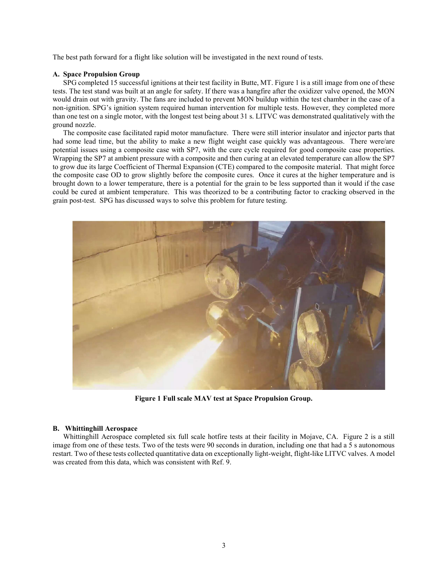The best path forward for a flight like solution will be investigated in the next round of tests.

#### A. Space Propulsion Group

SPG completed 15 successful ignitions at their test facility in Butte, MT. Figure 1 is a still image from one of these tests. The test stand was built at an angle for safety. If there was a hangfire after the oxidizer valve opened, the MON would drain out with gravity. The fans are included to prevent MON buildup within the test chamber in the case of a non-ignition. SPG's ignition system required human intervention for multiple tests. However, they completed more than one test on a single motor, with the longest test being about 31 s. LITVC was demonstrated qualitatively with the ground nozzle.

The composite case facilitated rapid motor manufacture. There were still interior insulator and injector parts that had some lead time, but the ability to make a new flight weight case quickly was advantageous. There were/are potential issues using a composite case with SP7, with the cure cycle required for good composite case properties. Wrapping the SP7 at ambient pressure with a composite and then curing at an elevated temperature can allow the SP7 to grow due its large Coefficient of Thermal Expansion (CTE) compared to the composite material. That might force the composite case OD to grow slightly before the composite cures. Once it cures at the higher temperature and is brought down to a lower temperature, there is a potential for the grain to be less supported than it would if the case could be cured at ambient temperature. This was theorized to be a contributing factor to cracking observed in the grain post-test. SPG has discussed ways to solve this problem for future testing.



Figure 1 Full scale MAV test at Space Propulsion Group.

#### B. Whittinghill Aerospace

Whittinghill Aerospace completed six full scale hotfire tests at their facility in Mojave, CA. Figure 2 is a still image from one of these tests. Two of the tests were 90 seconds in duration, including one that had a 5 s autonomous restart. Two of these tests collected quantitative data on exceptionally light-weight, flight-like LITVC valves. A model was created from this data, which was consistent with Ref. 9.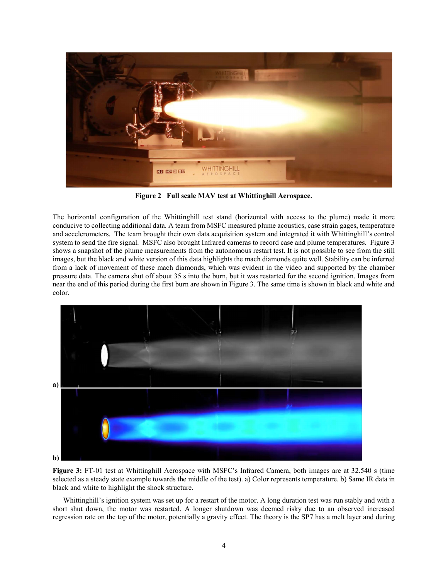

Figure 2 Full scale MAV test at Whittinghill Aerospace.

The horizontal configuration of the Whittinghill test stand (horizontal with access to the plume) made it more conducive to collecting additional data. A team from MSFC measured plume acoustics, case strain gages, temperature and accelerometers. The team brought their own data acquisition system and integrated it with Whittinghill's control system to send the fire signal. MSFC also brought Infrared cameras to record case and plume temperatures. Figure 3 shows a snapshot of the plume measurements from the autonomous restart test. It is not possible to see from the still images, but the black and white version of this data highlights the mach diamonds quite well. Stability can be inferred from a lack of movement of these mach diamonds, which was evident in the video and supported by the chamber pressure data. The camera shut off about 35 s into the burn, but it was restarted for the second ignition. Images from near the end of this period during the first burn are shown in Figure 3. The same time is shown in black and white and color.



Figure 3: FT-01 test at Whittinghill Aerospace with MSFC's Infrared Camera, both images are at 32.540 s (time selected as a steady state example towards the middle of the test). a) Color represents temperature. b) Same IR data in black and white to highlight the shock structure.

Whittinghill's ignition system was set up for a restart of the motor. A long duration test was run stably and with a short shut down, the motor was restarted. A longer shutdown was deemed risky due to an observed increased regression rate on the top of the motor, potentially a gravity effect. The theory is the SP7 has a melt layer and during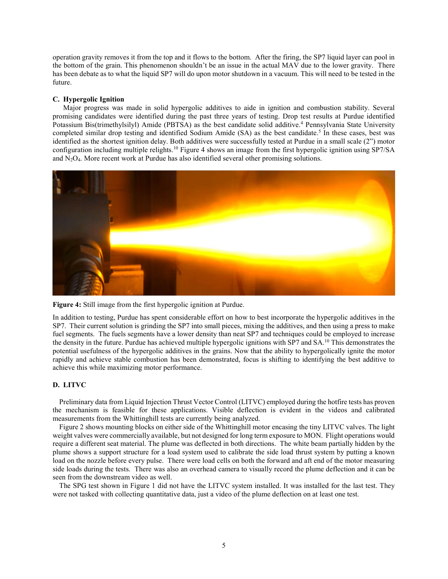operation gravity removes it from the top and it flows to the bottom. After the firing, the SP7 liquid layer can pool in the bottom of the grain. This phenomenon shouldn't be an issue in the actual MAV due to the lower gravity. There has been debate as to what the liquid SP7 will do upon motor shutdown in a vacuum. This will need to be tested in the future.

#### C. Hypergolic Ignition

 Major progress was made in solid hypergolic additives to aide in ignition and combustion stability. Several promising candidates were identified during the past three years of testing. Drop test results at Purdue identified Potassium Bis(trimethylsilyl) Amide (PBTSA) as the best candidate solid additive.<sup>4</sup> Pennsylvania State University completed similar drop testing and identified Sodium Amide (SA) as the best candidate.<sup>5</sup> In these cases, best was identified as the shortest ignition delay. Both additives were successfully tested at Purdue in a small scale (2") motor configuration including multiple relights.<sup>10</sup> Figure 4 shows an image from the first hypergolic ignition using SP7/SA and  $N_2O_4$ . More recent work at Purdue has also identified several other promising solutions.





In addition to testing, Purdue has spent considerable effort on how to best incorporate the hypergolic additives in the SP7. Their current solution is grinding the SP7 into small pieces, mixing the additives, and then using a press to make fuel segments. The fuels segments have a lower density than neat SP7 and techniques could be employed to increase the density in the future. Purdue has achieved multiple hypergolic ignitions with SP7 and  $SA<sup>10</sup>$  This demonstrates the potential usefulness of the hypergolic additives in the grains. Now that the ability to hypergolically ignite the motor rapidly and achieve stable combustion has been demonstrated, focus is shifting to identifying the best additive to achieve this while maximizing motor performance.

#### D. LITVC

Preliminary data from Liquid Injection Thrust Vector Control (LITVC) employed during the hotfire tests has proven the mechanism is feasible for these applications. Visible deflection is evident in the videos and calibrated measurements from the Whittinghill tests are currently being analyzed.

Figure 2 shows mounting blocks on either side of the Whittinghill motor encasing the tiny LITVC valves. The light weight valves were commercially available, but not designed for long term exposure to MON. Flight operations would require a different seat material. The plume was deflected in both directions. The white beam partially hidden by the plume shows a support structure for a load system used to calibrate the side load thrust system by putting a known load on the nozzle before every pulse. There were load cells on both the forward and aft end of the motor measuring side loads during the tests. There was also an overhead camera to visually record the plume deflection and it can be seen from the downstream video as well.

The SPG test shown in Figure 1 did not have the LITVC system installed. It was installed for the last test. They were not tasked with collecting quantitative data, just a video of the plume deflection on at least one test.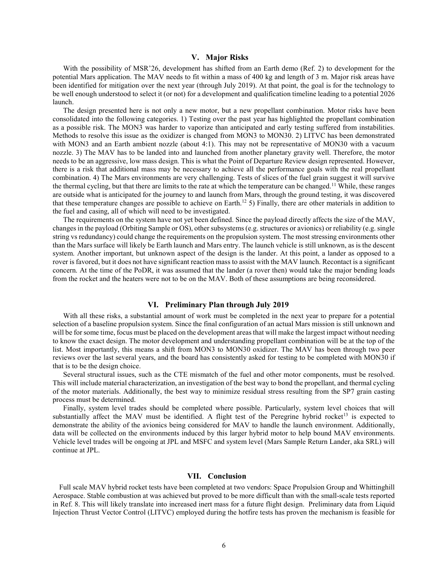#### V. Major Risks

With the possibility of MSR'26, development has shifted from an Earth demo (Ref. 2) to development for the potential Mars application. The MAV needs to fit within a mass of 400 kg and length of 3 m. Major risk areas have been identified for mitigation over the next year (through July 2019). At that point, the goal is for the technology to be well enough understood to select it (or not) for a development and qualification timeline leading to a potential 2026 launch.

The design presented here is not only a new motor, but a new propellant combination. Motor risks have been consolidated into the following categories. 1) Testing over the past year has highlighted the propellant combination as a possible risk. The MON3 was harder to vaporize than anticipated and early testing suffered from instabilities. Methods to resolve this issue as the oxidizer is changed from MON3 to MON30. 2) LITVC has been demonstrated with MON3 and an Earth ambient nozzle (about 4:1). This may not be representative of MON30 with a vacuum nozzle. 3) The MAV has to be landed into and launched from another planetary gravity well. Therefore, the motor needs to be an aggressive, low mass design. This is what the Point of Departure Review design represented. However, there is a risk that additional mass may be necessary to achieve all the performance goals with the real propellant combination. 4) The Mars environments are very challenging. Tests of slices of the fuel grain suggest it will survive the thermal cycling, but that there are limits to the rate at which the temperature can be changed.<sup>11</sup> While, these ranges are outside what is anticipated for the journey to and launch from Mars, through the ground testing, it was discovered that these temperature changes are possible to achieve on Earth.<sup>12</sup> 5) Finally, there are other materials in addition to the fuel and casing, all of which will need to be investigated.

The requirements on the system have not yet been defined. Since the payload directly affects the size of the MAV, changes in the payload (Orbiting Sample or OS), other subsystems (e.g. structures or avionics) or reliability (e.g. single string vs redundancy) could change the requirements on the propulsion system. The most stressing environments other than the Mars surface will likely be Earth launch and Mars entry. The launch vehicle is still unknown, as is the descent system. Another important, but unknown aspect of the design is the lander. At this point, a lander as opposed to a rover is favored, but it does not have significant reaction mass to assist with the MAV launch. Recontact is a significant concern. At the time of the PoDR, it was assumed that the lander (a rover then) would take the major bending loads from the rocket and the heaters were not to be on the MAV. Both of these assumptions are being reconsidered.

#### VI. Preliminary Plan through July 2019

 With all these risks, a substantial amount of work must be completed in the next year to prepare for a potential selection of a baseline propulsion system. Since the final configuration of an actual Mars mission is still unknown and will be for some time, focus must be placed on the development areas that will make the largest impact without needing to know the exact design. The motor development and understanding propellant combination will be at the top of the list. Most importantly, this means a shift from MON3 to MON30 oxidizer. The MAV has been through two peer reviews over the last several years, and the board has consistently asked for testing to be completed with MON30 if that is to be the design choice.

 Several structural issues, such as the CTE mismatch of the fuel and other motor components, must be resolved. This will include material characterization, an investigation of the best way to bond the propellant, and thermal cycling of the motor materials. Additionally, the best way to minimize residual stress resulting from the SP7 grain casting process must be determined.

 Finally, system level trades should be completed where possible. Particularly, system level choices that will substantially affect the MAV must be identified. A flight test of the Peregrine hybrid rocket<sup>13</sup> is expected to demonstrate the ability of the avionics being considered for MAV to handle the launch environment. Additionally, data will be collected on the environments induced by this larger hybrid motor to help bound MAV environments. Vehicle level trades will be ongoing at JPL and MSFC and system level (Mars Sample Return Lander, aka SRL) will continue at JPL.

#### VII. Conclusion

Full scale MAV hybrid rocket tests have been completed at two vendors: Space Propulsion Group and Whittinghill Aerospace. Stable combustion at was achieved but proved to be more difficult than with the small-scale tests reported in Ref. 8. This will likely translate into increased inert mass for a future flight design. Preliminary data from Liquid Injection Thrust Vector Control (LITVC) employed during the hotfire tests has proven the mechanism is feasible for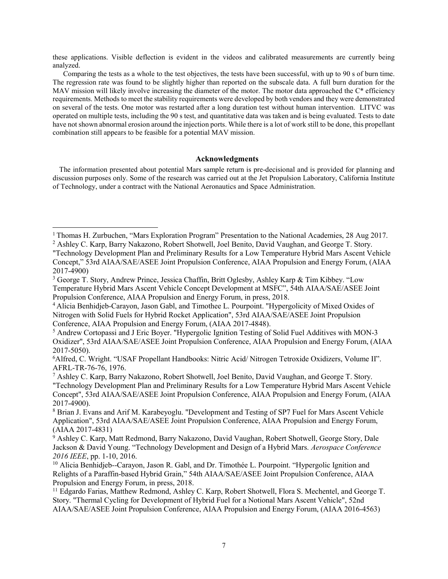these applications. Visible deflection is evident in the videos and calibrated measurements are currently being analyzed.

Comparing the tests as a whole to the test objectives, the tests have been successful, with up to 90 s of burn time. The regression rate was found to be slightly higher than reported on the subscale data. A full burn duration for the MAV mission will likely involve increasing the diameter of the motor. The motor data approached the C<sup>\*</sup> efficiency requirements. Methods to meet the stability requirements were developed by both vendors and they were demonstrated on several of the tests. One motor was restarted after a long duration test without human intervention. LITVC was operated on multiple tests, including the 90 s test, and quantitative data was taken and is being evaluated. Tests to date have not shown abnormal erosion around the injection ports. While there is a lot of work still to be done, this propellant combination still appears to be feasible for a potential MAV mission.

## Acknowledgments

The information presented about potential Mars sample return is pre-decisional and is provided for planning and discussion purposes only. Some of the research was carried out at the Jet Propulsion Laboratory, California Institute of Technology, under a contract with the National Aeronautics and Space Administration.

 $\overline{a}$ 

<sup>1</sup>Thomas H. Zurbuchen, "Mars Exploration Program" Presentation to the National Academies, 28 Aug 2017.

<sup>&</sup>lt;sup>2</sup> Ashley C. Karp, Barry Nakazono, Robert Shotwell, Joel Benito, David Vaughan, and George T. Story.

<sup>&</sup>quot;Technology Development Plan and Preliminary Results for a Low Temperature Hybrid Mars Ascent Vehicle Concept," 53rd AIAA/SAE/ASEE Joint Propulsion Conference, AIAA Propulsion and Energy Forum, (AIAA 2017-4900)

<sup>&</sup>lt;sup>3</sup> George T. Story, Andrew Prince, Jessica Chaffin, Britt Oglesby, Ashley Karp & Tim Kibbey. "Low Temperature Hybrid Mars Ascent Vehicle Concept Development at MSFC", 54th AIAA/SAE/ASEE Joint Propulsion Conference, AIAA Propulsion and Energy Forum, in press, 2018.

<sup>4</sup>Alicia Benhidjeb-Carayon, Jason Gabl, and Timothee L. Pourpoint. "Hypergolicity of Mixed Oxides of Nitrogen with Solid Fuels for Hybrid Rocket Application", 53rd AIAA/SAE/ASEE Joint Propulsion Conference, AIAA Propulsion and Energy Forum, (AIAA 2017-4848).

<sup>&</sup>lt;sup>5</sup> Andrew Cortopassi and J Eric Boyer. "Hypergolic Ignition Testing of Solid Fuel Additives with MON-3 Oxidizer", 53rd AIAA/SAE/ASEE Joint Propulsion Conference, AIAA Propulsion and Energy Forum, (AIAA 2017-5050).

<sup>6</sup>Alfred, C. Wright. "USAF Propellant Handbooks: Nitric Acid/ Nitrogen Tetroxide Oxidizers, Volume II". AFRL-TR-76-76, 1976.

<sup>7</sup> Ashley C. Karp, Barry Nakazono, Robert Shotwell, Joel Benito, David Vaughan, and George T. Story. "Technology Development Plan and Preliminary Results for a Low Temperature Hybrid Mars Ascent Vehicle Concept", 53rd AIAA/SAE/ASEE Joint Propulsion Conference, AIAA Propulsion and Energy Forum, (AIAA 2017-4900).

<sup>8</sup> Brian J. Evans and Arif M. Karabeyoglu. "Development and Testing of SP7 Fuel for Mars Ascent Vehicle Application", 53rd AIAA/SAE/ASEE Joint Propulsion Conference, AIAA Propulsion and Energy Forum, (AIAA 2017-4831)

<sup>&</sup>lt;sup>9</sup> Ashley C. Karp, Matt Redmond, Barry Nakazono, David Vaughan, Robert Shotwell, George Story, Dale Jackson & David Young. "Technology Development and Design of a Hybrid Mars. Aerospace Conference 2016 IEEE, pp. 1-10, 2016.

<sup>&</sup>lt;sup>10</sup> Alicia Benhidjeb--Carayon, Jason R. Gabl, and Dr. Timothée L. Pourpoint. "Hypergolic Ignition and Relights of a Paraffin-based Hybrid Grain," 54th AIAA/SAE/ASEE Joint Propulsion Conference, AIAA Propulsion and Energy Forum, in press, 2018.

<sup>&</sup>lt;sup>11</sup> Edgardo Farias, Matthew Redmond, Ashley C. Karp, Robert Shotwell, Flora S. Mechentel, and George T. Story. "Thermal Cycling for Development of Hybrid Fuel for a Notional Mars Ascent Vehicle", 52nd AIAA/SAE/ASEE Joint Propulsion Conference, AIAA Propulsion and Energy Forum, (AIAA 2016-4563)